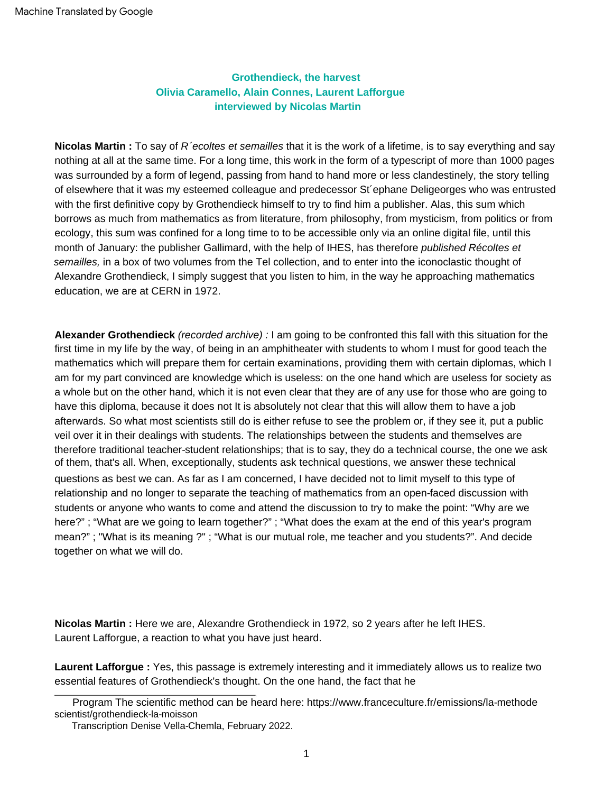## **Olivia Caramello, Alain Connes, Laurent Lafforgue interviewed by Nicolas Martin Grothendieck, the harvest**

**Nicolas Martin :** To say of R´ecoltes et semailles that it is the work of a lifetime, is to say everything and say nothing at all at the same time. For a long time, this work in the form of a typescript of more than 1000 pages was surrounded by a form of legend, passing from hand to hand more or less clandestinely, the story telling of elsewhere that it was my esteemed colleague and predecessor St´ephane Deligeorges who was entrusted with the first definitive copy by Grothendieck himself to try to find him a publisher. Alas, this sum which borrows as much from mathematics as from literature, from philosophy, from mysticism, from politics or from ecology, this sum was confined for a long time to to be accessible only via an online digital file, until this month of January: the publisher Gallimard, with the help of IHES, has therefore *published Récoltes et* semailles, in a box of two volumes from the Tel collection, and to enter into the iconoclastic thought of Alexandre Grothendieck, I simply suggest that you listen to him, in the way he approaching mathematics education, we are at CERN in 1972.

**Alexander Grothendieck** (recorded archive) : I am going to be confronted this fall with this situation for the first time in my life by the way, of being in an amphitheater with students to whom I must for good teach the mathematics which will prepare them for certain examinations, providing them with certain diplomas, which I am for my part convinced are knowledge which is useless: on the one hand which are useless for society as a whole but on the other hand, which it is not even clear that they are of any use for those who are going to have this diploma, because it does not It is absolutely not clear that this will allow them to have a job afterwards. So what most scientists still do is either refuse to see the problem or, if they see it, put a public veil over it in their dealings with students. The relationships between the students and themselves are therefore traditional teacher-student relationships; that is to say, they do a technical course, the one we ask of them, that's all. When, exceptionally, students ask technical questions, we answer these technical questions as best we can. As far as I am concerned, I have decided not to limit myself to this type of relationship and no longer to separate the teaching of mathematics from an open-faced discussion with students or anyone who wants to come and attend the discussion to try to make the point: "Why are we here?" ; "What are we going to learn together?" ; "What does the exam at the end of this year's program mean?" ; "What is its meaning ?" ; "What is our mutual role, me teacher and you students?". And decide together on what we will do.

**Nicolas Martin :** Here we are, Alexandre Grothendieck in 1972, so 2 years after he left IHES. Laurent Lafforgue, a reaction to what you have just heard.

**Laurent Lafforgue :** Yes, this passage is extremely interesting and it immediately allows us to realize two essential features of Grothendieck's thought. On the one hand, the fact that he

Program The scientific method can be heard here: [https://www.franceculture.fr/emissions/la-methode](https://www.franceculture.fr/emissions/la-methode-scientifique/grothendieck-la-moisson) [scientist/grothendieck-la-moisson](https://www.franceculture.fr/emissions/la-methode-scientifique/grothendieck-la-moisson) 

Transcription Denise Vella-Chemla, February 2022.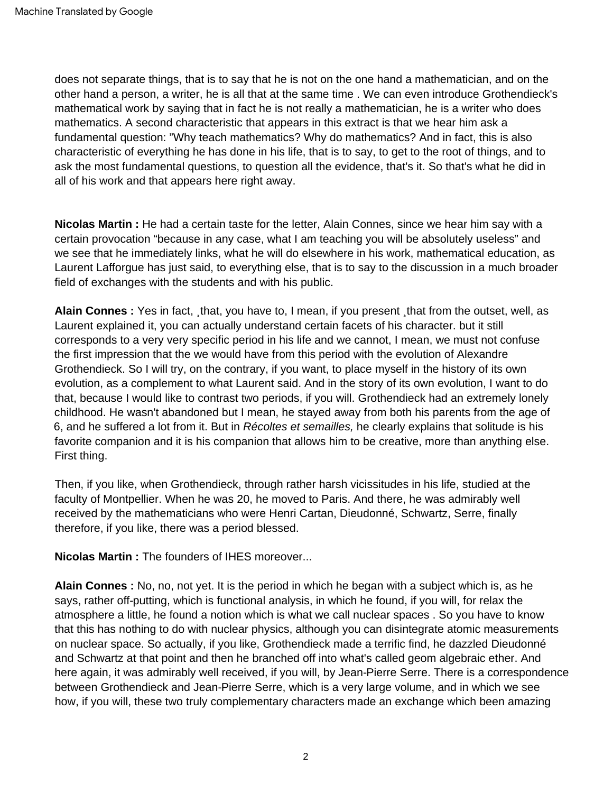does not separate things, that is to say that he is not on the one hand a mathematician, and on the other hand a person, a writer, he is all that at the same time . We can even introduce Grothendieck's mathematical work by saying that in fact he is not really a mathematician, he is a writer who does mathematics. A second characteristic that appears in this extract is that we hear him ask a fundamental question: "Why teach mathematics? Why do mathematics? And in fact, this is also characteristic of everything he has done in his life, that is to say, to get to the root of things, and to ask the most fundamental questions, to question all the evidence, that's it. So that's what he did in all of his work and that appears here right away.

**Nicolas Martin :** He had a certain taste for the letter, Alain Connes, since we hear him say with a certain provocation "because in any case, what I am teaching you will be absolutely useless" and we see that he immediately links, what he will do elsewhere in his work, mathematical education, as Laurent Lafforgue has just said, to everything else, that is to say to the discussion in a much broader field of exchanges with the students and with his public.

**Alain Connes :** Yes in fact, ¸that, you have to, I mean, if you present ¸that from the outset, well, as Laurent explained it, you can actually understand certain facets of his character. but it still corresponds to a very very specific period in his life and we cannot, I mean, we must not confuse the first impression that the we would have from this period with the evolution of Alexandre Grothendieck. So I will try, on the contrary, if you want, to place myself in the history of its own evolution, as a complement to what Laurent said. And in the story of its own evolution, I want to do that, because I would like to contrast two periods, if you will. Grothendieck had an extremely lonely childhood. He wasn't abandoned but I mean, he stayed away from both his parents from the age of 6, and he suffered a lot from it. But in Récoltes et semailles, he clearly explains that solitude is his favorite companion and it is his companion that allows him to be creative, more than anything else. First thing.

Then, if you like, when Grothendieck, through rather harsh vicissitudes in his life, studied at the faculty of Montpellier. When he was 20, he moved to Paris. And there, he was admirably well received by the mathematicians who were Henri Cartan, Dieudonné, Schwartz, Serre, finally therefore, if you like, there was a period blessed.

**Nicolas Martin :** The founders of IHES moreover...

**Alain Connes :** No, no, not yet. It is the period in which he began with a subject which is, as he says, rather off-putting, which is functional analysis, in which he found, if you will, for relax the atmosphere a little, he found a notion which is what we call nuclear spaces . So you have to know that this has nothing to do with nuclear physics, although you can disintegrate atomic measurements on nuclear space. So actually, if you like, Grothendieck made a terrific find, he dazzled Dieudonné and Schwartz at that point and then he branched off into what's called geom algebraic ether. And here again, it was admirably well received, if you will, by Jean-Pierre Serre. There is a correspondence between Grothendieck and Jean-Pierre Serre, which is a very large volume, and in which we see how, if you will, these two truly complementary characters made an exchange which been amazing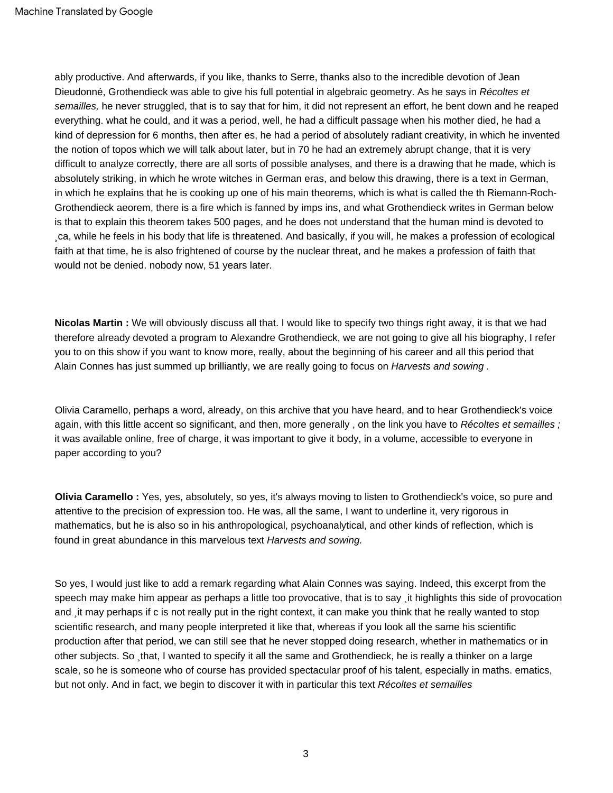ably productive. And afterwards, if you like, thanks to Serre, thanks also to the incredible devotion of Jean Dieudonné, Grothendieck was able to give his full potential in algebraic geometry. As he says in Récoltes et semailles, he never struggled, that is to say that for him, it did not represent an effort, he bent down and he reaped everything. what he could, and it was a period, well, he had a difficult passage when his mother died, he had a kind of depression for 6 months, then after es, he had a period of absolutely radiant creativity, in which he invented the notion of topos which we will talk about later, but in 70 he had an extremely abrupt change, that it is very difficult to analyze correctly, there are all sorts of possible analyses, and there is a drawing that he made, which is absolutely striking, in which he wrote witches in German eras, and below this drawing, there is a text in German, in which he explains that he is cooking up one of his main theorems, which is what is called the th Riemann-Roch-Grothendieck aeorem, there is a fire which is fanned by imps ins, and what Grothendieck writes in German below is that to explain this theorem takes 500 pages, and he does not understand that the human mind is devoted to ¸ca, while he feels in his body that life is threatened. And basically, if you will, he makes a profession of ecological faith at that time, he is also frightened of course by the nuclear threat, and he makes a profession of faith that would not be denied. nobody now, 51 years later.

**Nicolas Martin :** We will obviously discuss all that. I would like to specify two things right away, it is that we had therefore already devoted a program to Alexandre Grothendieck, we are not going to give all his biography, I refer you to on this show if you want to know more, really, about the beginning of his career and all this period that Alain Connes has just summed up brilliantly, we are really going to focus on Harvests and sowing .

Olivia Caramello, perhaps a word, already, on this archive that you have heard, and to hear Grothendieck's voice again, with this little accent so significant, and then, more generally, on the link you have to Récoltes et semailles; it was available online, free of charge, it was important to give it body, in a volume, accessible to everyone in paper according to you?

**Olivia Caramello :** Yes, yes, absolutely, so yes, it's always moving to listen to Grothendieck's voice, so pure and attentive to the precision of expression too. He was, all the same, I want to underline it, very rigorous in mathematics, but he is also so in his anthropological, psychoanalytical, and other kinds of reflection, which is found in great abundance in this marvelous text Harvests and sowing.

So yes, I would just like to add a remark regarding what Alain Connes was saying. Indeed, this excerpt from the speech may make him appear as perhaps a little too provocative, that is to say ¸it highlights this side of provocation and it may perhaps if c is not really put in the right context, it can make you think that he really wanted to stop scientific research, and many people interpreted it like that, whereas if you look all the same his scientific production after that period, we can still see that he never stopped doing research, whether in mathematics or in other subjects. So that, I wanted to specify it all the same and Grothendieck, he is really a thinker on a large scale, so he is someone who of course has provided spectacular proof of his talent, especially in maths. ematics, but not only. And in fact, we begin to discover it with in particular this text Récoltes et semailles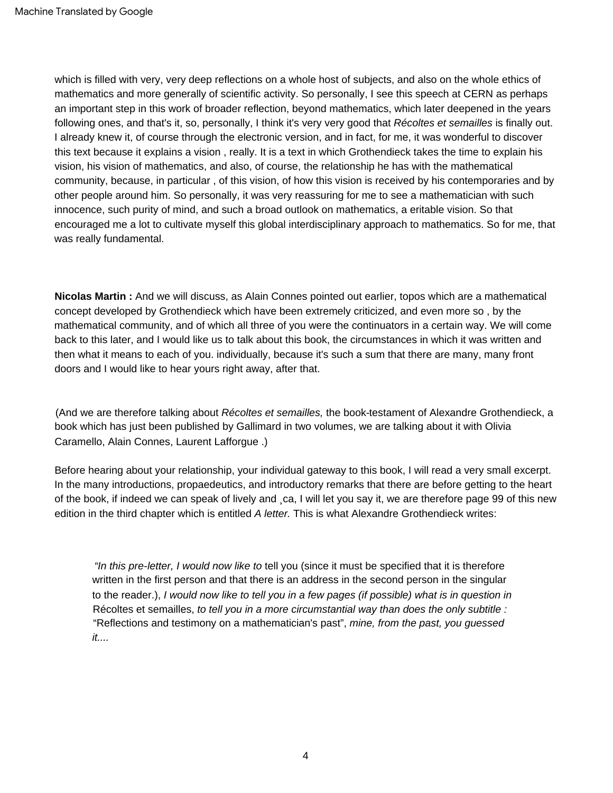which is filled with very, very deep reflections on a whole host of subjects, and also on the whole ethics of mathematics and more generally of scientific activity. So personally, I see this speech at CERN as perhaps an important step in this work of broader reflection, beyond mathematics, which later deepened in the years following ones, and that's it, so, personally, I think it's very very good that Récoltes et semailles is finally out. I already knew it, of course through the electronic version, and in fact, for me, it was wonderful to discover this text because it explains a vision , really. It is a text in which Grothendieck takes the time to explain his vision, his vision of mathematics, and also, of course, the relationship he has with the mathematical community, because, in particular , of this vision, of how this vision is received by his contemporaries and by other people around him. So personally, it was very reassuring for me to see a mathematician with such innocence, such purity of mind, and such a broad outlook on mathematics, a eritable vision. So that encouraged me a lot to cultivate myself this global interdisciplinary approach to mathematics. So for me, that was really fundamental.

**Nicolas Martin :** And we will discuss, as Alain Connes pointed out earlier, topos which are a mathematical concept developed by Grothendieck which have been extremely criticized, and even more so , by the mathematical community, and of which all three of you were the continuators in a certain way. We will come back to this later, and I would like us to talk about this book, the circumstances in which it was written and then what it means to each of you. individually, because it's such a sum that there are many, many front doors and I would like to hear yours right away, after that.

(And we are therefore talking about Récoltes et semailles, the book-testament of Alexandre Grothendieck, a book which has just been published by Gallimard in two volumes, we are talking about it with Olivia Caramello, Alain Connes, Laurent Lafforgue .)

Before hearing about your relationship, your individual gateway to this book, I will read a very small excerpt. In the many introductions, propaedeutics, and introductory remarks that there are before getting to the heart of the book, if indeed we can speak of lively and ¸ca, I will let you say it, we are therefore page 99 of this new edition in the third chapter which is entitled A letter. This is what Alexandre Grothendieck writes:

"In this pre-letter, I would now like to tell you (since it must be specified that it is therefore written in the first person and that there is an address in the second person in the singular to the reader.), I would now like to tell you in a few pages (if possible) what is in question in Récoltes et semailles, to tell you in a more circumstantial way than does the only subtitle : "Reflections and testimony on a mathematician's past", mine, from the past, you guessed it....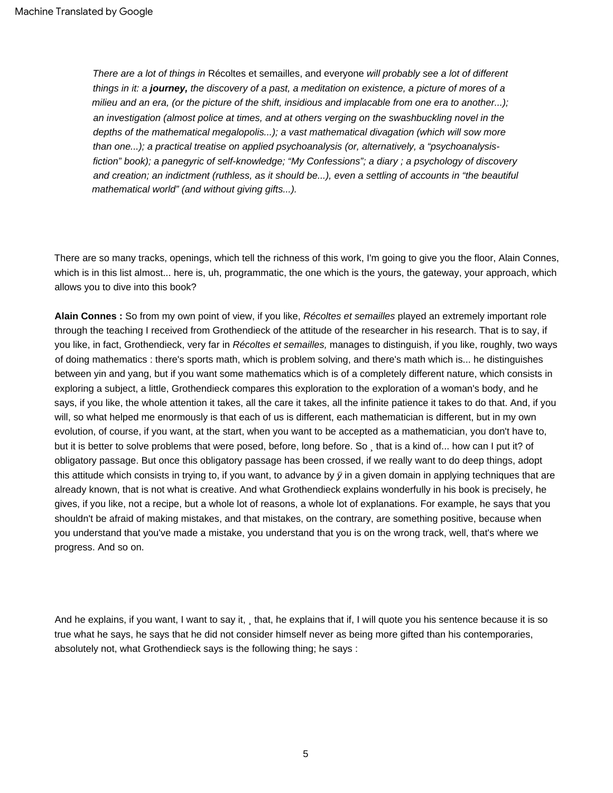There are a lot of things in Récoltes et semailles, and everyone will probably see a lot of different things in it: a **journey,** the discovery of a past, a meditation on existence, a picture of mores of a milieu and an era, (or the picture of the shift, insidious and implacable from one era to another...); an investigation (almost police at times, and at others verging on the swashbuckling novel in the depths of the mathematical megalopolis...); a vast mathematical divagation (which will sow more than one...); a practical treatise on applied psychoanalysis (or, alternatively, a "psychoanalysisfiction" book); a panegyric of self-knowledge; "My Confessions"; a diary ; a psychology of discovery and creation; an indictment (ruthless, as it should be...), even a settling of accounts in "the beautiful mathematical world" (and without giving gifts...).

There are so many tracks, openings, which tell the richness of this work, I'm going to give you the floor, Alain Connes, which is in this list almost... here is, uh, programmatic, the one which is the yours, the gateway, your approach, which allows you to dive into this book?

**Alain Connes :** So from my own point of view, if you like, Récoltes et semailles played an extremely important role through the teaching I received from Grothendieck of the attitude of the researcher in his research. That is to say, if you like, in fact, Grothendieck, very far in Récoltes et semailles, manages to distinguish, if you like, roughly, two ways of doing mathematics : there's sports math, which is problem solving, and there's math which is... he distinguishes between yin and yang, but if you want some mathematics which is of a completely different nature, which consists in exploring a subject, a little, Grothendieck compares this exploration to the exploration of a woman's body, and he says, if you like, the whole attention it takes, all the care it takes, all the infinite patience it takes to do that. And, if you will, so what helped me enormously is that each of us is different, each mathematician is different, but in my own evolution, of course, if you want, at the start, when you want to be accepted as a mathematician, you don't have to, but it is better to solve problems that were posed, before, long before. So that is a kind of... how can I put it? of obligatory passage. But once this obligatory passage has been crossed, if we really want to do deep things, adopt this attitude which consists in trying to, if you want, to advance by  $\ddot{y}$  in a given domain in applying techniques that are already known, that is not what is creative. And what Grothendieck explains wonderfully in his book is precisely, he gives, if you like, not a recipe, but a whole lot of reasons, a whole lot of explanations. For example, he says that you shouldn't be afraid of making mistakes, and that mistakes, on the contrary, are something positive, because when you understand that you've made a mistake, you understand that you is on the wrong track, well, that's where we progress. And so on.

And he explains, if you want, I want to say it, that, he explains that if, I will quote you his sentence because it is so true what he says, he says that he did not consider himself never as being more gifted than his contemporaries, absolutely not, what Grothendieck says is the following thing; he says :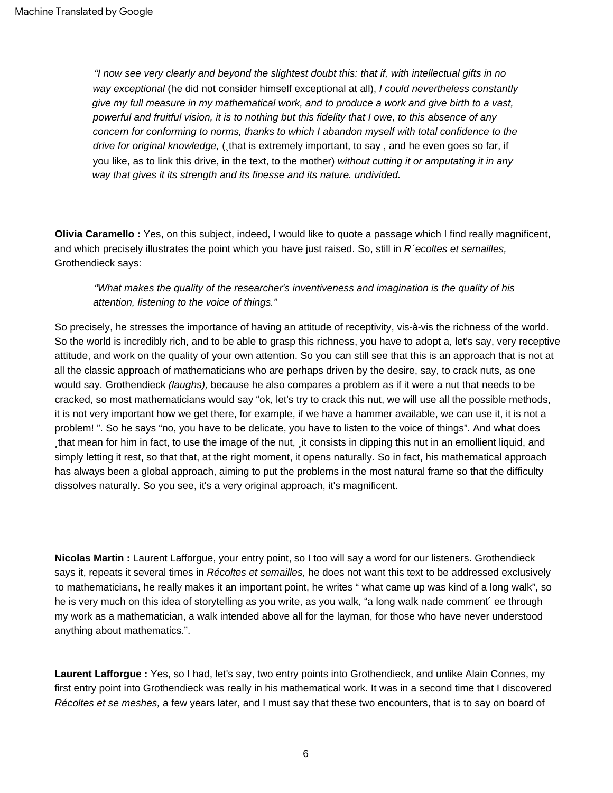"I now see very clearly and beyond the slightest doubt this: that if, with intellectual gifts in no way exceptional (he did not consider himself exceptional at all), I could nevertheless constantly give my full measure in my mathematical work, and to produce a work and give birth to a vast, powerful and fruitful vision, it is to nothing but this fidelity that I owe, to this absence of any concern for conforming to norms, thanks to which I abandon myself with total confidence to the drive for original knowledge, (, that is extremely important, to say, and he even goes so far, if you like, as to link this drive, in the text, to the mother) without cutting it or amputating it in any way that gives it its strength and its finesse and its nature. undivided.

**Olivia Caramello :** Yes, on this subject, indeed, I would like to quote a passage which I find really magnificent, and which precisely illustrates the point which you have just raised. So, still in  $R$  ecoltes et semailles, Grothendieck says:

## "What makes the quality of the researcher's inventiveness and imagination is the quality of his attention, listening to the voice of things."

So precisely, he stresses the importance of having an attitude of receptivity, vis-à-vis the richness of the world. So the world is incredibly rich, and to be able to grasp this richness, you have to adopt a, let's say, very receptive attitude, and work on the quality of your own attention. So you can still see that this is an approach that is not at all the classic approach of mathematicians who are perhaps driven by the desire, say, to crack nuts, as one would say. Grothendieck (laughs), because he also compares a problem as if it were a nut that needs to be cracked, so most mathematicians would say "ok, let's try to crack this nut, we will use all the possible methods, it is not very important how we get there, for example, if we have a hammer available, we can use it, it is not a problem! ". So he says "no, you have to be delicate, you have to listen to the voice of things". And what does that mean for him in fact, to use the image of the nut, it consists in dipping this nut in an emollient liquid, and simply letting it rest, so that that, at the right moment, it opens naturally. So in fact, his mathematical approach has always been a global approach, aiming to put the problems in the most natural frame so that the difficulty dissolves naturally. So you see, it's a very original approach, it's magnificent.

**Nicolas Martin :** Laurent Lafforgue, your entry point, so I too will say a word for our listeners. Grothendieck says it, repeats it several times in Récoltes et semailles, he does not want this text to be addressed exclusively to mathematicians, he really makes it an important point, he writes " what came up was kind of a long walk", so he is very much on this idea of storytelling as you write, as you walk, "a long walk nade comment´ ee through my work as a mathematician, a walk intended above all for the layman, for those who have never understood anything about mathematics.".

**Laurent Lafforgue :** Yes, so I had, let's say, two entry points into Grothendieck, and unlike Alain Connes, my first entry point into Grothendieck was really in his mathematical work. It was in a second time that I discovered Récoltes et se meshes, a few years later, and I must say that these two encounters, that is to say on board of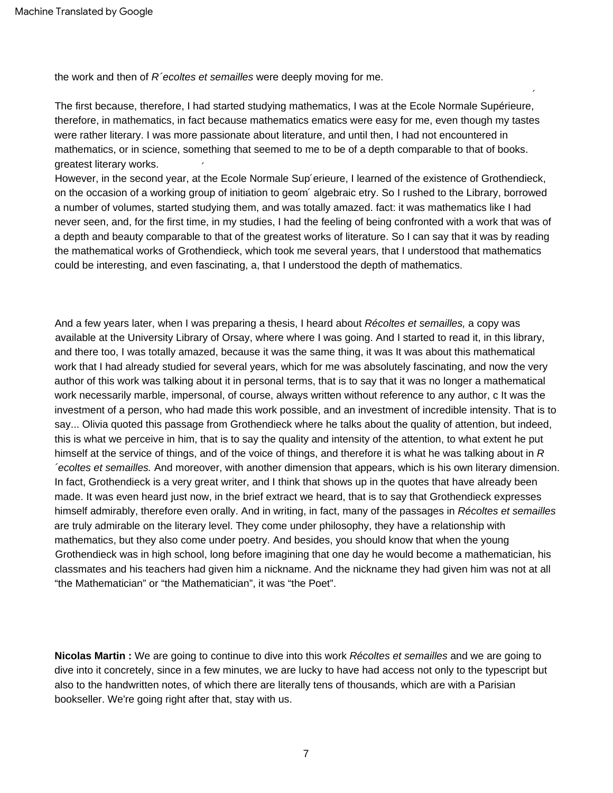the work and then of  $R$  ecoltes et semailles were deeply moving for me.

 $\overline{\phantom{a}}$ The first because, therefore, I had started studying mathematics, I was at the Ecole Normale Supérieure, therefore, in mathematics, in fact because mathematics ematics were easy for me, even though my tastes were rather literary. I was more passionate about literature, and until then, I had not encountered in mathematics, or in science, something that seemed to me to be of a depth comparable to that of books. greatest literary works.

 $\overline{\phantom{a}}$ 

However, in the second year, at the Ecole Normale Sup´erieure, I learned of the existence of Grothendieck, on the occasion of a working group of initiation to geom´ algebraic etry. So I rushed to the Library, borrowed a number of volumes, started studying them, and was totally amazed. fact: it was mathematics like I had never seen, and, for the first time, in my studies, I had the feeling of being confronted with a work that was of a depth and beauty comparable to that of the greatest works of literature. So I can say that it was by reading the mathematical works of Grothendieck, which took me several years, that I understood that mathematics could be interesting, and even fascinating, a, that I understood the depth of mathematics.

And a few years later, when I was preparing a thesis, I heard about Récoltes et semailles, a copy was available at the University Library of Orsay, where where I was going. And I started to read it, in this library, and there too, I was totally amazed, because it was the same thing, it was It was about this mathematical work that I had already studied for several years, which for me was absolutely fascinating, and now the very author of this work was talking about it in personal terms, that is to say that it was no longer a mathematical work necessarily marble, impersonal, of course, always written without reference to any author, c It was the investment of a person, who had made this work possible, and an investment of incredible intensity. That is to say... Olivia quoted this passage from Grothendieck where he talks about the quality of attention, but indeed, this is what we perceive in him, that is to say the quality and intensity of the attention, to what extent he put himself at the service of things, and of the voice of things, and therefore it is what he was talking about in  $R$ ´ecoltes et semailles. And moreover, with another dimension that appears, which is his own literary dimension. In fact, Grothendieck is a very great writer, and I think that shows up in the quotes that have already been made. It was even heard just now, in the brief extract we heard, that is to say that Grothendieck expresses himself admirably, therefore even orally. And in writing, in fact, many of the passages in Récoltes et semailles are truly admirable on the literary level. They come under philosophy, they have a relationship with mathematics, but they also come under poetry. And besides, you should know that when the young Grothendieck was in high school, long before imagining that one day he would become a mathematician, his classmates and his teachers had given him a nickname. And the nickname they had given him was not at all "the Mathematician" or "the Mathematician", it was "the Poet".

**Nicolas Martin :** We are going to continue to dive into this work Récoltes et semailles and we are going to dive into it concretely, since in a few minutes, we are lucky to have had access not only to the typescript but also to the handwritten notes, of which there are literally tens of thousands, which are with a Parisian bookseller. We're going right after that, stay with us.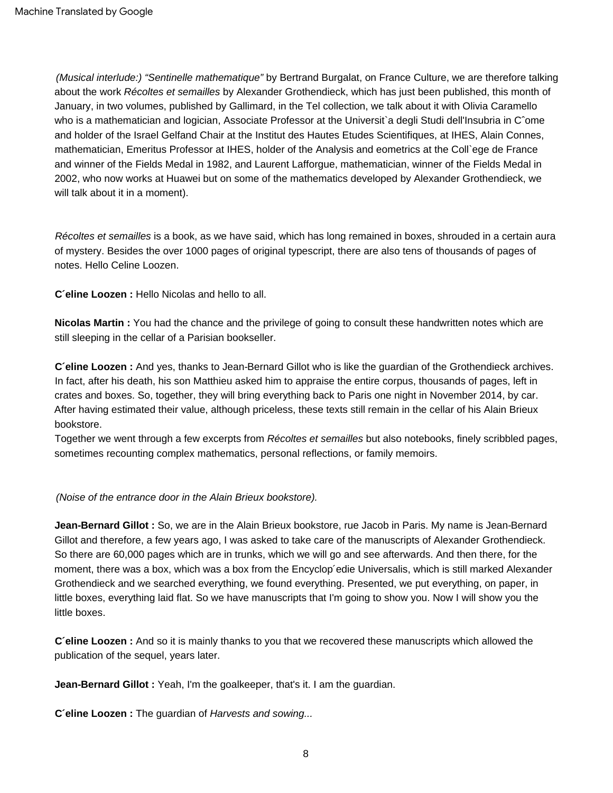´ and holder of the Israel Gelfand Chair at the Institut des Hautes Etudes Scientifiques, at IHES, Alain Connes, (Musical interlude:) "Sentinelle mathematique" by Bertrand Burgalat, on France Culture, we are therefore talking about the work Récoltes et semailles by Alexander Grothendieck, which has just been published, this month of January, in two volumes, published by Gallimard, in the Tel collection, we talk about it with Olivia Caramello who is a mathematician and logician, Associate Professor at the Universit`a degli Studi dell'Insubria in C^ome mathematician, Emeritus Professor at IHES, holder of the Analysis and eometrics at the Coll`ege de France and winner of the Fields Medal in 1982, and Laurent Lafforgue, mathematician, winner of the Fields Medal in 2002, who now works at Huawei but on some of the mathematics developed by Alexander Grothendieck, we will talk about it in a moment).

Récoltes et semailles is a book, as we have said, which has long remained in boxes, shrouded in a certain aura of mystery. Besides the over 1000 pages of original typescript, there are also tens of thousands of pages of notes. Hello Celine Loozen.

**C´eline Loozen :** Hello Nicolas and hello to all.

**Nicolas Martin :** You had the chance and the privilege of going to consult these handwritten notes which are still sleeping in the cellar of a Parisian bookseller.

**C´eline Loozen :** And yes, thanks to Jean-Bernard Gillot who is like the guardian of the Grothendieck archives. In fact, after his death, his son Matthieu asked him to appraise the entire corpus, thousands of pages, left in crates and boxes. So, together, they will bring everything back to Paris one night in November 2014, by car. After having estimated their value, although priceless, these texts still remain in the cellar of his Alain Brieux bookstore.

Together we went through a few excerpts from Récoltes et semailles but also notebooks, finely scribbled pages, sometimes recounting complex mathematics, personal reflections, or family memoirs.

(Noise of the entrance door in the Alain Brieux bookstore).

**Jean-Bernard Gillot :** So, we are in the Alain Brieux bookstore, rue Jacob in Paris. My name is Jean-Bernard Gillot and therefore, a few years ago, I was asked to take care of the manuscripts of Alexander Grothendieck. So there are 60,000 pages which are in trunks, which we will go and see afterwards. And then there, for the moment, there was a box, which was a box from the Encyclop´edie Universalis, which is still marked Alexander Grothendieck and we searched everything, we found everything. Presented, we put everything, on paper, in little boxes, everything laid flat. So we have manuscripts that I'm going to show you. Now I will show you the little boxes.

**C´eline Loozen :** And so it is mainly thanks to you that we recovered these manuscripts which allowed the publication of the sequel, years later.

**Jean-Bernard Gillot :** Yeah, I'm the goalkeeper, that's it. I am the guardian.

**C´eline Loozen :** The guardian of Harvests and sowing...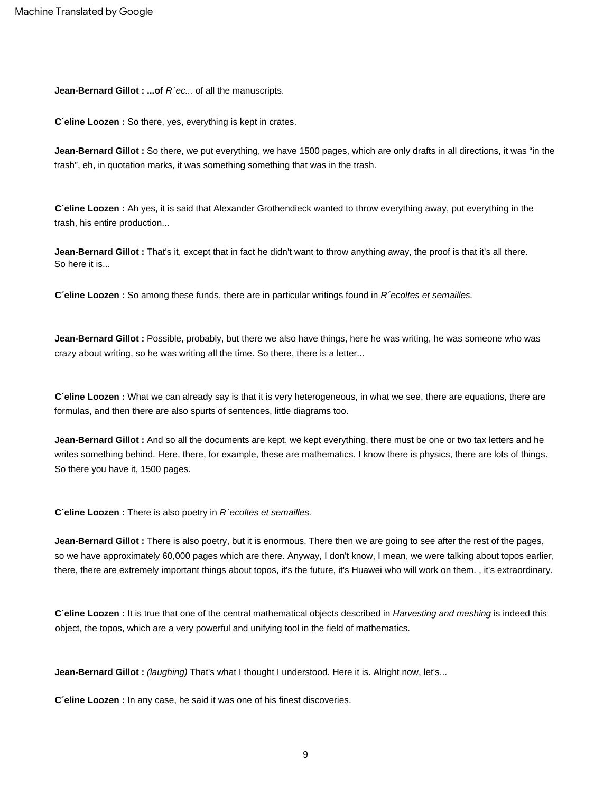**Jean-Bernard Gillot : ...of R'ec... of all the manuscripts.** 

**C´eline Loozen :** So there, yes, everything is kept in crates.

**Jean-Bernard Gillot :** So there, we put everything, we have 1500 pages, which are only drafts in all directions, it was "in the trash", eh, in quotation marks, it was something something that was in the trash.

**C´eline Loozen :** Ah yes, it is said that Alexander Grothendieck wanted to throw everything away, put everything in the trash, his entire production...

So here it is... **Jean-Bernard Gillot :** That's it, except that in fact he didn't want to throw anything away, the proof is that it's all there.

**C'eline Loozen :** So among these funds, there are in particular writings found in R 'ecoltes et semailles.

**Jean-Bernard Gillot :** Possible, probably, but there we also have things, here he was writing, he was someone who was crazy about writing, so he was writing all the time. So there, there is a letter...

**C´eline Loozen :** What we can already say is that it is very heterogeneous, in what we see, there are equations, there are formulas, and then there are also spurts of sentences, little diagrams too.

**Jean-Bernard Gillot :** And so all the documents are kept, we kept everything, there must be one or two tax letters and he writes something behind. Here, there, for example, these are mathematics. I know there is physics, there are lots of things. So there you have it, 1500 pages.

**C'eline Loozen :** There is also poetry in R'ecoltes et semailles.

**Jean-Bernard Gillot :** There is also poetry, but it is enormous. There then we are going to see after the rest of the pages, so we have approximately 60,000 pages which are there. Anyway, I don't know, I mean, we were talking about topos earlier, there, there are extremely important things about topos, it's the future, it's Huawei who will work on them. , it's extraordinary.

**C´eline Loozen :** It is true that one of the central mathematical objects described in Harvesting and meshing is indeed this object, the topos, which are a very powerful and unifying tool in the field of mathematics.

Jean-Bernard Gillot : (laughing) That's what I thought I understood. Here it is. Alright now, let's...

**C´eline Loozen :** In any case, he said it was one of his finest discoveries.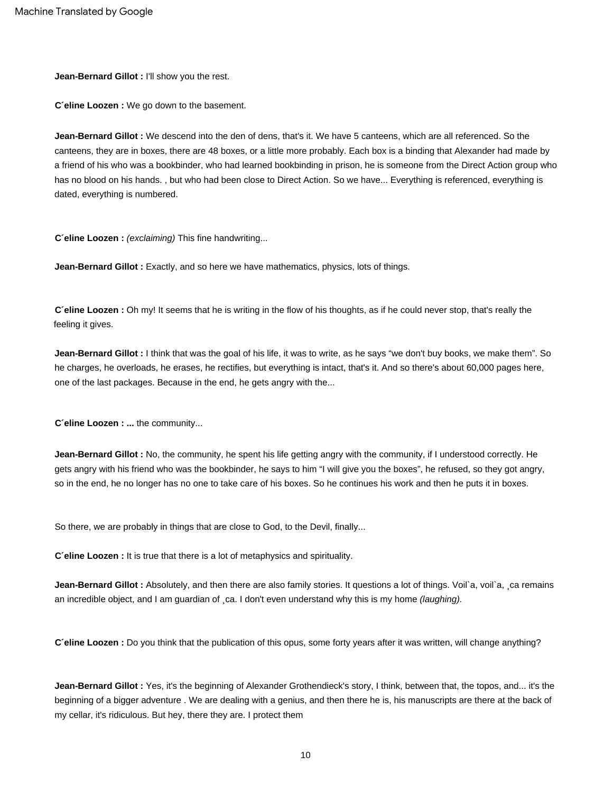**Jean-Bernard Gillot :** I'll show you the rest.

**C´eline Loozen :** We go down to the basement.

**Jean-Bernard Gillot :** We descend into the den of dens, that's it. We have 5 canteens, which are all referenced. So the canteens, they are in boxes, there are 48 boxes, or a little more probably. Each box is a binding that Alexander had made by a friend of his who was a bookbinder, who had learned bookbinding in prison, he is someone from the Direct Action group who has no blood on his hands. , but who had been close to Direct Action. So we have... Everything is referenced, everything is dated, everything is numbered.

**C´eline Loozen :** (exclaiming) This fine handwriting...

**Jean-Bernard Gillot :** Exactly, and so here we have mathematics, physics, lots of things.

**C´eline Loozen :** Oh my! It seems that he is writing in the flow of his thoughts, as if he could never stop, that's really the feeling it gives.

**Jean-Bernard Gillot :** I think that was the goal of his life, it was to write, as he says "we don't buy books, we make them". So he charges, he overloads, he erases, he rectifies, but everything is intact, that's it. And so there's about 60,000 pages here, one of the last packages. Because in the end, he gets angry with the...

**C´eline Loozen : ...** the community...

**Jean-Bernard Gillot :** No, the community, he spent his life getting angry with the community, if I understood correctly. He gets angry with his friend who was the bookbinder, he says to him "I will give you the boxes", he refused, so they got angry, so in the end, he no longer has no one to take care of his boxes. So he continues his work and then he puts it in boxes.

So there, we are probably in things that are close to God, to the Devil, finally...

**C´eline Loozen :** It is true that there is a lot of metaphysics and spirituality.

Jean-Bernard Gillot : Absolutely, and then there are also family stories. It questions a lot of things. Voil`a, voil`a, sca remains an incredible object, and I am guardian of ca. I don't even understand why this is my home (laughing).

**C´eline Loozen :** Do you think that the publication of this opus, some forty years after it was written, will change anything?

**Jean-Bernard Gillot :** Yes, it's the beginning of Alexander Grothendieck's story, I think, between that, the topos, and... it's the beginning of a bigger adventure . We are dealing with a genius, and then there he is, his manuscripts are there at the back of my cellar, it's ridiculous. But hey, there they are. I protect them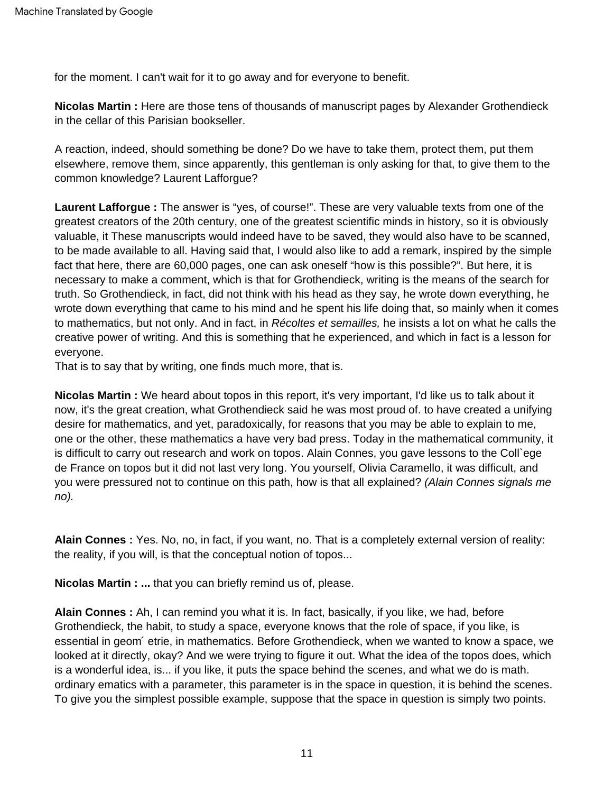for the moment. I can't wait for it to go away and for everyone to benefit.

**Nicolas Martin :** Here are those tens of thousands of manuscript pages by Alexander Grothendieck in the cellar of this Parisian bookseller.

A reaction, indeed, should something be done? Do we have to take them, protect them, put them elsewhere, remove them, since apparently, this gentleman is only asking for that, to give them to the common knowledge? Laurent Lafforgue?

**Laurent Lafforgue :** The answer is "yes, of course!". These are very valuable texts from one of the greatest creators of the 20th century, one of the greatest scientific minds in history, so it is obviously valuable, it These manuscripts would indeed have to be saved, they would also have to be scanned, to be made available to all. Having said that, I would also like to add a remark, inspired by the simple fact that here, there are 60,000 pages, one can ask oneself "how is this possible?". But here, it is necessary to make a comment, which is that for Grothendieck, writing is the means of the search for truth. So Grothendieck, in fact, did not think with his head as they say, he wrote down everything, he wrote down everything that came to his mind and he spent his life doing that, so mainly when it comes to mathematics, but not only. And in fact, in Récoltes et semailles, he insists a lot on what he calls the creative power of writing. And this is something that he experienced, and which in fact is a lesson for everyone.

That is to say that by writing, one finds much more, that is.

**Nicolas Martin :** We heard about topos in this report, it's very important, I'd like us to talk about it now, it's the great creation, what Grothendieck said he was most proud of. to have created a unifying desire for mathematics, and yet, paradoxically, for reasons that you may be able to explain to me, one or the other, these mathematics a have very bad press. Today in the mathematical community, it is difficult to carry out research and work on topos. Alain Connes, you gave lessons to the Coll`ege de France on topos but it did not last very long. You yourself, Olivia Caramello, it was difficult, and you were pressured not to continue on this path, how is that all explained? (Alain Connes signals me no).

**Alain Connes :** Yes. No, no, in fact, if you want, no. That is a completely external version of reality: the reality, if you will, is that the conceptual notion of topos...

**Nicolas Martin : ...** that you can briefly remind us of, please.

**Alain Connes :** Ah, I can remind you what it is. In fact, basically, if you like, we had, before Grothendieck, the habit, to study a space, everyone knows that the role of space, if you like, is essential in geom´ etrie, in mathematics. Before Grothendieck, when we wanted to know a space, we looked at it directly, okay? And we were trying to figure it out. What the idea of the topos does, which is a wonderful idea, is... if you like, it puts the space behind the scenes, and what we do is math. ordinary ematics with a parameter, this parameter is in the space in question, it is behind the scenes. To give you the simplest possible example, suppose that the space in question is simply two points.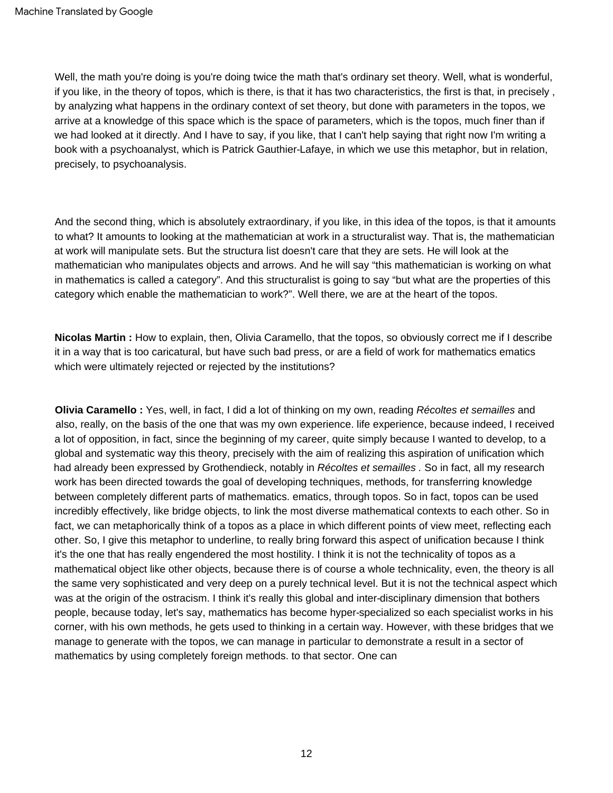Well, the math you're doing is you're doing twice the math that's ordinary set theory. Well, what is wonderful, if you like, in the theory of topos, which is there, is that it has two characteristics, the first is that, in precisely , by analyzing what happens in the ordinary context of set theory, but done with parameters in the topos, we arrive at a knowledge of this space which is the space of parameters, which is the topos, much finer than if we had looked at it directly. And I have to say, if you like, that I can't help saying that right now I'm writing a book with a psychoanalyst, which is Patrick Gauthier-Lafaye, in which we use this metaphor, but in relation, precisely, to psychoanalysis.

And the second thing, which is absolutely extraordinary, if you like, in this idea of the topos, is that it amounts to what? It amounts to looking at the mathematician at work in a structuralist way. That is, the mathematician at work will manipulate sets. But the structura list doesn't care that they are sets. He will look at the mathematician who manipulates objects and arrows. And he will say "this mathematician is working on what in mathematics is called a category". And this structuralist is going to say "but what are the properties of this category which enable the mathematician to work?". Well there, we are at the heart of the topos.

**Nicolas Martin :** How to explain, then, Olivia Caramello, that the topos, so obviously correct me if I describe it in a way that is too caricatural, but have such bad press, or are a field of work for mathematics ematics which were ultimately rejected or rejected by the institutions?

**Olivia Caramello :** Yes, well, in fact, I did a lot of thinking on my own, reading Récoltes et semailles and also, really, on the basis of the one that was my own experience. life experience, because indeed, I received a lot of opposition, in fact, since the beginning of my career, quite simply because I wanted to develop, to a global and systematic way this theory, precisely with the aim of realizing this aspiration of unification which had already been expressed by Grothendieck, notably in Récoltes et semailles . So in fact, all my research work has been directed towards the goal of developing techniques, methods, for transferring knowledge between completely different parts of mathematics. ematics, through topos. So in fact, topos can be used incredibly effectively, like bridge objects, to link the most diverse mathematical contexts to each other. So in fact, we can metaphorically think of a topos as a place in which different points of view meet, reflecting each other. So, I give this metaphor to underline, to really bring forward this aspect of unification because I think it's the one that has really engendered the most hostility. I think it is not the technicality of topos as a mathematical object like other objects, because there is of course a whole technicality, even, the theory is all the same very sophisticated and very deep on a purely technical level. But it is not the technical aspect which was at the origin of the ostracism. I think it's really this global and inter-disciplinary dimension that bothers people, because today, let's say, mathematics has become hyper-specialized so each specialist works in his corner, with his own methods, he gets used to thinking in a certain way. However, with these bridges that we manage to generate with the topos, we can manage in particular to demonstrate a result in a sector of mathematics by using completely foreign methods. to that sector. One can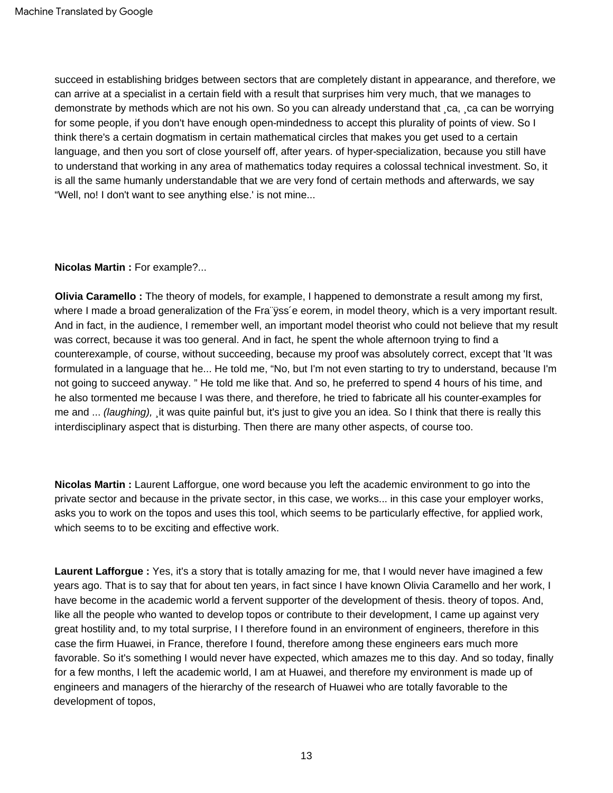succeed in establishing bridges between sectors that are completely distant in appearance, and therefore, we can arrive at a specialist in a certain field with a result that surprises him very much, that we manages to demonstrate by methods which are not his own. So you can already understand that ¸ca, ¸ca can be worrying for some people, if you don't have enough open-mindedness to accept this plurality of points of view. So I think there's a certain dogmatism in certain mathematical circles that makes you get used to a certain language, and then you sort of close yourself off, after years. of hyper-specialization, because you still have to understand that working in any area of mathematics today requires a colossal technical investment. So, it is all the same humanly understandable that we are very fond of certain methods and afterwards, we say "Well, no! I don't want to see anything else.' is not mine...

## **Nicolas Martin :** For example?...

**Olivia Caramello :** The theory of models, for example, I happened to demonstrate a result among my first, where I made a broad generalization of the Fra "yss'e eorem, in model theory, which is a very important result. And in fact, in the audience, I remember well, an important model theorist who could not believe that my result was correct, because it was too general. And in fact, he spent the whole afternoon trying to find a counterexample, of course, without succeeding, because my proof was absolutely correct, except that 'It was formulated in a language that he... He told me, "No, but I'm not even starting to try to understand, because I'm not going to succeed anyway. " He told me like that. And so, he preferred to spend 4 hours of his time, and he also tormented me because I was there, and therefore, he tried to fabricate all his counter-examples for me and ... (laughing), it was quite painful but, it's just to give you an idea. So I think that there is really this interdisciplinary aspect that is disturbing. Then there are many other aspects, of course too.

**Nicolas Martin :** Laurent Lafforgue, one word because you left the academic environment to go into the private sector and because in the private sector, in this case, we works... in this case your employer works, asks you to work on the topos and uses this tool, which seems to be particularly effective, for applied work, which seems to to be exciting and effective work.

**Laurent Lafforgue :** Yes, it's a story that is totally amazing for me, that I would never have imagined a few years ago. That is to say that for about ten years, in fact since I have known Olivia Caramello and her work, I have become in the academic world a fervent supporter of the development of thesis. theory of topos. And, like all the people who wanted to develop topos or contribute to their development, I came up against very great hostility and, to my total surprise, I I therefore found in an environment of engineers, therefore in this case the firm Huawei, in France, therefore I found, therefore among these engineers ears much more favorable. So it's something I would never have expected, which amazes me to this day. And so today, finally for a few months, I left the academic world, I am at Huawei, and therefore my environment is made up of engineers and managers of the hierarchy of the research of Huawei who are totally favorable to the development of topos,